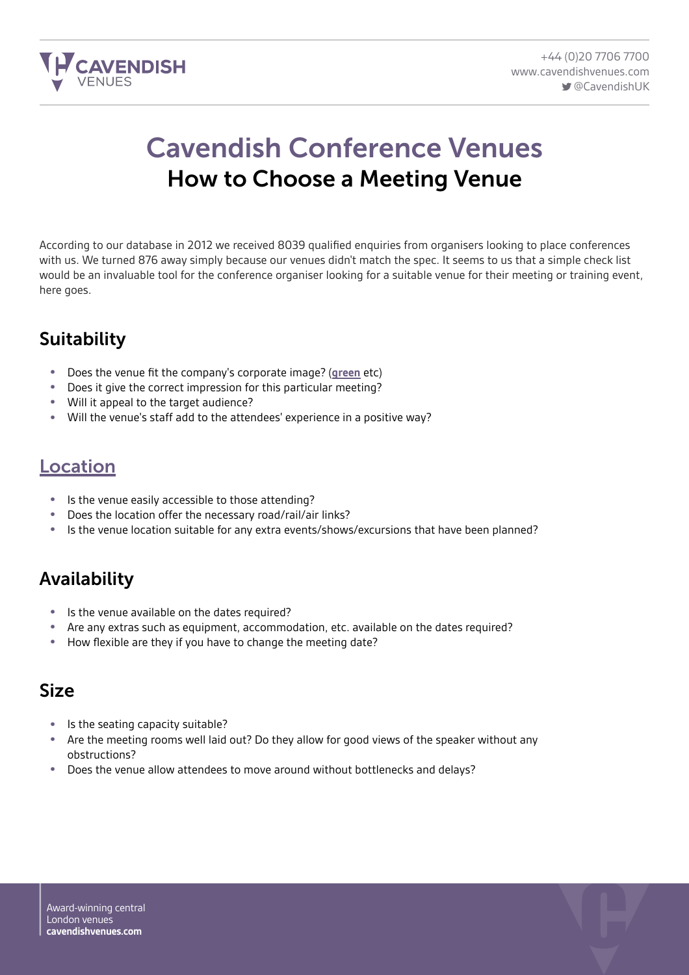

# Cavendish Conference Venues How to Choose a Meeting Venue

According to our database in 2012 we received 8039 qualified enquiries from organisers looking to place conferences with us. We turned 876 away simply because our venues didn't match the spec. It seems to us that a simple check list would be an invaluable tool for the conference organiser looking for a suitable venue for their meeting or training event, here goes.

## **Suitability**

- Does the venue fit the company's corporate image? (**[green](http://www.cavendishconferencevenues.co.uk/green/)** etc)
- Does it give the correct impression for this particular meeting?
- Will it appeal to the target audience?
- Will the venue's staff add to the attendees' experience in a positive way?

#### [Location](http://www.cavendishconferencevenues.co.uk/london-conference-venues/)

- Is the venue easily accessible to those attending?
- Does the location offer the necessary road/rail/air links?
- Is the venue location suitable for any extra events/shows/excursions that have been planned?

## Availability

- Is the venue available on the dates required?
- Are any extras such as equipment, accommodation, etc. available on the dates required?<br>• How flexible are they if you have to change the meeting date?
- How flexible are they if you have to change the meeting date?

#### Size

- Is the seating capacity suitable?
- Are the meeting rooms well laid out? Do they allow for good views of the speaker without any obstructions?
- Does the venue allow attendees to move around without bottlenecks and delays?